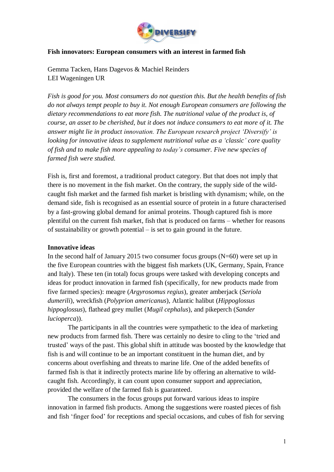

## **Fish innovators: European consumers with an interest in farmed fish**

Gemma Tacken, Hans Dagevos & Machiel Reinders LEI Wageningen UR

*Fish is good for you. Most consumers do not question this. But the health benefits of fish do not always tempt people to buy it. Not enough European consumers are following the dietary recommendations to eat more fish. The nutritional value of the product is, of course, an asset to be cherished, but it does not induce consumers to eat more of it. The answer might lie in product innovation. The European research project 'Diversify' is looking for innovative ideas to supplement nutritional value as a 'classic' core quality of fish and to make fish more appealing to today's consumer. Five new species of farmed fish were studied.*

Fish is, first and foremost, a traditional product category. But that does not imply that there is no movement in the fish market. On the contrary, the supply side of the wildcaught fish market and the farmed fish market is bristling with dynamism; while, on the demand side, fish is recognised as an essential source of protein in a future characterised by a fast-growing global demand for animal proteins. Though captured fish is more plentiful on the current fish market, fish that is produced on farms – whether for reasons of sustainability or growth potential – is set to gain ground in the future.

## **Innovative ideas**

In the second half of January 2015 two consumer focus groups  $(N=60)$  were set up in the five European countries with the biggest fish markets (UK, Germany, Spain, France and Italy). These ten (in total) focus groups were tasked with developing concepts and ideas for product innovation in farmed fish (specifically, for new products made from five farmed species): meagre (*Argyrosomus regius*), greater amberjack (*Seriola dumerili*), wreckfish (*Polyprion americanus*), Atlantic halibut (*Hippoglossus hippoglossus*), flathead grey mullet (*Mugil cephalus*), and pikeperch (*Sander lucioperca*)).

The participants in all the countries were sympathetic to the idea of marketing new products from farmed fish. There was certainly no desire to cling to the 'tried and trusted' ways of the past. This global shift in attitude was boosted by the knowledge that fish is and will continue to be an important constituent in the human diet, and by concerns about overfishing and threats to marine life. One of the added benefits of farmed fish is that it indirectly protects marine life by offering an alternative to wildcaught fish. Accordingly, it can count upon consumer support and appreciation, provided the welfare of the farmed fish is guaranteed.

The consumers in the focus groups put forward various ideas to inspire innovation in farmed fish products. Among the suggestions were roasted pieces of fish and fish 'finger food' for receptions and special occasions, and cubes of fish for serving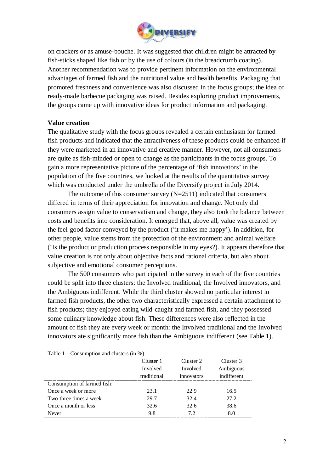

on crackers or as amuse-bouche. It was suggested that children might be attracted by fish-sticks shaped like fish or by the use of colours (in the breadcrumb coating). Another recommendation was to provide pertinent information on the environmental advantages of farmed fish and the nutritional value and health benefits. Packaging that promoted freshness and convenience was also discussed in the focus groups; the idea of ready-made barbecue packaging was raised. Besides exploring product improvements, the groups came up with innovative ideas for product information and packaging.

## **Value creation**

The qualitative study with the focus groups revealed a certain enthusiasm for farmed fish products and indicated that the attractiveness of these products could be enhanced if they were marketed in an innovative and creative manner. However, not all consumers are quite as fish-minded or open to change as the participants in the focus groups. To gain a more representative picture of the percentage of 'fish innovators' in the population of the five countries, we looked at the results of the quantitative survey which was conducted under the umbrella of the Diversify project in July 2014.

The outcome of this consumer survey  $(N=2511)$  indicated that consumers differed in terms of their appreciation for innovation and change. Not only did consumers assign value to conservatism and change, they also took the balance between costs and benefits into consideration. It emerged that, above all, value was created by the feel-good factor conveyed by the product ('it makes me happy'). In addition, for other people, value stems from the protection of the environment and animal welfare ('Is the product or production process responsible in my eyes?). It appears therefore that value creation is not only about objective facts and rational criteria, but also about subjective and emotional consumer perceptions.

The 500 consumers who participated in the survey in each of the five countries could be split into three clusters: the Involved traditional, the Involved innovators, and the Ambiguous indifferent. While the third cluster showed no particular interest in farmed fish products, the other two characteristically expressed a certain attachment to fish products; they enjoyed eating wild-caught and farmed fish, and they possessed some culinary knowledge about fish. These differences were also reflected in the amount of fish they ate every week or month: the Involved traditional and the Involved innovators ate significantly more fish than the Ambiguous indifferent (see Table 1).

| $1$ able $1 -$ Consumption and clusters $\left( \ln 70 \right)$ |             |            |             |  |
|-----------------------------------------------------------------|-------------|------------|-------------|--|
|                                                                 | Cluster 1   | Cluster 2  | Cluster 3   |  |
|                                                                 | Involved    | Involved   | Ambiguous   |  |
|                                                                 | traditional | innovators | indifferent |  |
| Consumption of farmed fish:                                     |             |            |             |  |
| Once a week or more                                             | 23.1        | 22.9       | 16.5        |  |
| Two-three times a week                                          | 29.7        | 32.4       | 27.2        |  |
| Once a month or less                                            | 32.6        | 32.6       | 38.6        |  |
| Never                                                           | 9.8         | 72         | 8.0         |  |

Table  $1 -$  Consumption and clusters (in  $\%$ )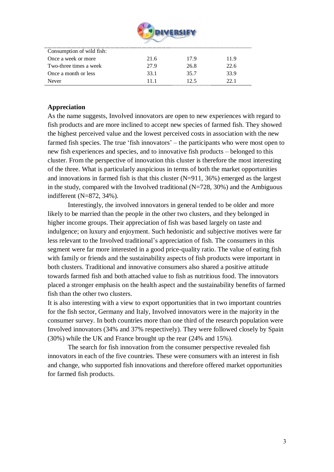

| Consumption of wild fish: |      |      |      |
|---------------------------|------|------|------|
| Once a week or more       | 21.6 | 179  | 11.9 |
| Two-three times a week    | 27.9 | 26.8 | 22.6 |
| Once a month or less      | 33.1 | 35.7 | 33.9 |
| Never                     | 11 1 | 12.5 | 22 I |

## **Appreciation**

As the name suggests, Involved innovators are open to new experiences with regard to fish products and are more inclined to accept new species of farmed fish. They showed the highest perceived value and the lowest perceived costs in association with the new farmed fish species. The true 'fish innovators' – the participants who were most open to new fish experiences and species, and to innovative fish products – belonged to this cluster. From the perspective of innovation this cluster is therefore the most interesting of the three. What is particularly auspicious in terms of both the market opportunities and innovations in farmed fish is that this cluster  $(N=911, 36%)$  emerged as the largest in the study, compared with the Involved traditional  $(N=728, 30\%)$  and the Ambiguous indifferent (N=872, 34%).

Interestingly, the involved innovators in general tended to be older and more likely to be married than the people in the other two clusters, and they belonged in higher income groups. Their appreciation of fish was based largely on taste and indulgence; on luxury and enjoyment. Such hedonistic and subjective motives were far less relevant to the Involved traditional's appreciation of fish. The consumers in this segment were far more interested in a good price-quality ratio. The value of eating fish with family or friends and the sustainability aspects of fish products were important in both clusters. Traditional and innovative consumers also shared a positive attitude towards farmed fish and both attached value to fish as nutritious food. The innovators placed a stronger emphasis on the health aspect and the sustainability benefits of farmed fish than the other two clusters.

It is also interesting with a view to export opportunities that in two important countries for the fish sector, Germany and Italy, Involved innovators were in the majority in the consumer survey. In both countries more than one third of the research population were Involved innovators (34% and 37% respectively). They were followed closely by Spain (30%) while the UK and France brought up the rear (24% and 15%).

The search for fish innovation from the consumer perspective revealed fish innovators in each of the five countries. These were consumers with an interest in fish and change, who supported fish innovations and therefore offered market opportunities for farmed fish products.